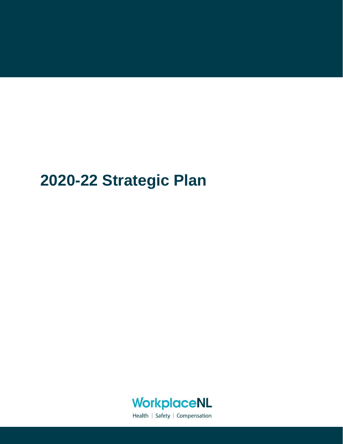# **2020-22 Strategic Plan**



Health | Safety | Compensation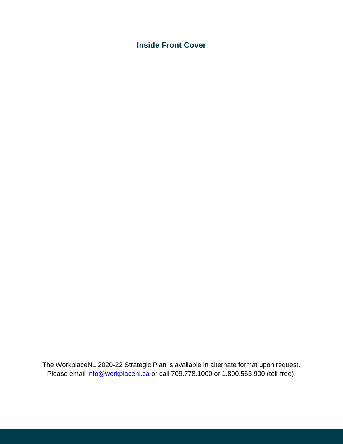**Inside Front Cover**

The WorkplaceNL 2020-22 Strategic Plan is available in alternate format upon request. Please email [info@workplacenl.ca](mailto:info@workplacenl.ca) or call 709.778.1000 or 1.800.563.900 (toll-free).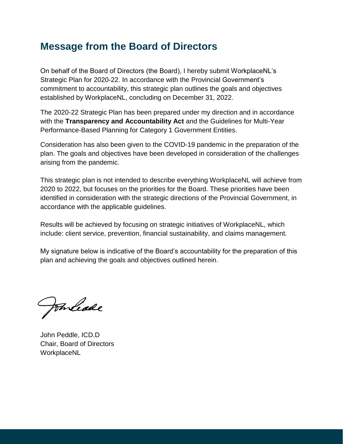### **Message from the Board of Directors**

On behalf of the Board of Directors (the Board), I hereby submit WorkplaceNL's Strategic Plan for 2020-22. In accordance with the Provincial Government's commitment to accountability, this strategic plan outlines the goals and objectives established by WorkplaceNL, concluding on December 31, 2022.

The 2020-22 Strategic Plan has been prepared under my direction and in accordance with the **Transparency and Accountability Act** and the Guidelines for Multi-Year Performance-Based Planning for Category 1 Government Entities.

Consideration has also been given to the COVID-19 pandemic in the preparation of the plan. The goals and objectives have been developed in consideration of the challenges arising from the pandemic.

This strategic plan is not intended to describe everything WorkplaceNL will achieve from 2020 to 2022, but focuses on the priorities for the Board. These priorities have been identified in consideration with the strategic directions of the Provincial Government, in accordance with the applicable guidelines.

Results will be achieved by focusing on strategic initiatives of WorkplaceNL, which include: client service, prevention, financial sustainability, and claims management.

My signature below is indicative of the Board's accountability for the preparation of this plan and achieving the goals and objectives outlined herein.

Fonliade

John Peddle, ICD.D Chair, Board of Directors WorkplaceNL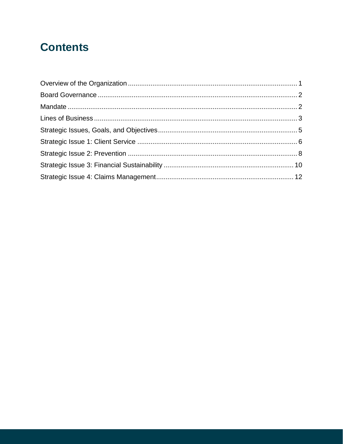## **Contents**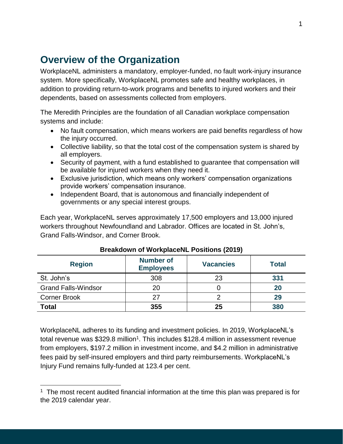### <span id="page-4-0"></span>**Overview of the Organization**

WorkplaceNL administers a mandatory, employer-funded, no fault work-injury insurance system. More specifically, WorkplaceNL promotes safe and healthy workplaces, in addition to providing return-to-work programs and benefits to injured workers and their dependents, based on assessments collected from employers.

The Meredith Principles are the foundation of all Canadian workplace compensation systems and include:

- No fault compensation, which means workers are paid benefits regardless of how the injury occurred.
- Collective liability, so that the total cost of the compensation system is shared by all employers.
- Security of payment, with a fund established to guarantee that compensation will be available for injured workers when they need it.
- Exclusive jurisdiction, which means only workers' compensation organizations provide workers' compensation insurance.
- Independent Board, that is autonomous and financially independent of governments or any special interest groups.

Each year, WorkplaceNL serves approximately 17,500 employers and 13,000 injured workers throughout Newfoundland and Labrador. Offices are located in St. John's, Grand Falls-Windsor, and Corner Brook.

| <b>Region</b>              | <b>Number of</b><br><b>Employees</b> | <b>Vacancies</b> | <b>Total</b> |
|----------------------------|--------------------------------------|------------------|--------------|
| St. John's                 | 308                                  | 23               | 331          |
| <b>Grand Falls-Windsor</b> | 20                                   |                  | 20           |
| <b>Corner Brook</b>        | 27                                   | ⌒                | 29           |
| <b>Total</b>               | 355                                  | 25               | 380          |

#### **Breakdown of WorkplaceNL Positions (2019)**

WorkplaceNL adheres to its funding and investment policies. In 2019, WorkplaceNL's total revenue was \$329.8 million<sup>1</sup>. This includes \$128.4 million in assessment revenue from employers, \$197.2 million in investment income, and \$4.2 million in administrative fees paid by self-insured employers and third party reimbursements. WorkplaceNL's Injury Fund remains fully-funded at 123.4 per cent.

 $\overline{a}$  $1$  The most recent audited financial information at the time this plan was prepared is for the 2019 calendar year.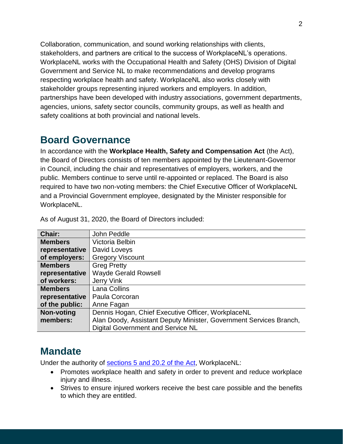Collaboration, communication, and sound working relationships with clients, stakeholders, and partners are critical to the success of WorkplaceNL's operations. WorkplaceNL works with the Occupational Health and Safety (OHS) Division of Digital Government and Service NL to make recommendations and develop programs respecting workplace health and safety. WorkplaceNL also works closely with stakeholder groups representing injured workers and employers. In addition, partnerships have been developed with industry associations, government departments, agencies, unions, safety sector councils, community groups, as well as health and safety coalitions at both provincial and national levels.

### <span id="page-5-0"></span>**Board Governance**

In accordance with the **Workplace Health, Safety and Compensation Act** (the Act), the Board of Directors consists of ten members appointed by the Lieutenant-Governor in Council, including the chair and representatives of employers, workers, and the public. Members continue to serve until re-appointed or replaced. The Board is also required to have two non-voting members: the Chief Executive Officer of WorkplaceNL and a Provincial Government employee, designated by the Minister responsible for WorkplaceNL.

| Chair:            | John Peddle                                                        |
|-------------------|--------------------------------------------------------------------|
| <b>Members</b>    | Victoria Belbin                                                    |
| representative    | David Loveys                                                       |
| of employers:     | <b>Gregory Viscount</b>                                            |
| <b>Members</b>    | <b>Greg Pretty</b>                                                 |
| representative    | <b>Wayde Gerald Rowsell</b>                                        |
| of workers:       | Jerry Vink                                                         |
| <b>Members</b>    | Lana Collins                                                       |
| representative    | Paula Corcoran                                                     |
| of the public:    | Anne Fagan                                                         |
| <b>Non-voting</b> | Dennis Hogan, Chief Executive Officer, WorkplaceNL                 |
| members:          | Alan Doody, Assistant Deputy Minister, Government Services Branch, |
|                   | Digital Government and Service NL                                  |

As of August 31, 2020, the Board of Directors included:

### <span id="page-5-1"></span>**Mandate**

Under the authority of [sections 5 and 20.2 of the Act,](https://www.assembly.nl.ca/Legislation/sr/statutes/w11.htm#5_) WorkplaceNL:

- Promotes workplace health and safety in order to prevent and reduce workplace injury and illness.
- Strives to ensure injured workers receive the best care possible and the benefits to which they are entitled.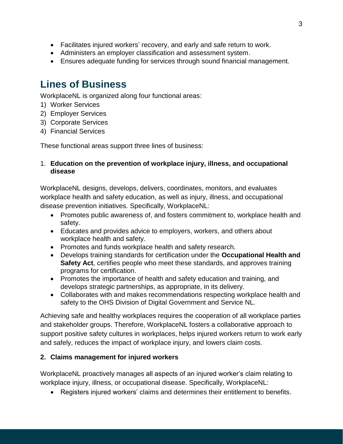- Facilitates injured workers' recovery, and early and safe return to work.
- Administers an employer classification and assessment system.
- Ensures adequate funding for services through sound financial management.

### <span id="page-6-0"></span>**Lines of Business**

WorkplaceNL is organized along four functional areas:

- 1) Worker Services
- 2) Employer Services
- 3) Corporate Services
- 4) Financial Services

These functional areas support three lines of business:

#### 1. **Education on the prevention of workplace injury, illness, and occupational disease**

WorkplaceNL designs, develops, delivers, coordinates, monitors, and evaluates workplace health and safety education, as well as injury, illness, and occupational disease prevention initiatives. Specifically, WorkplaceNL:

- Promotes public awareness of, and fosters commitment to, workplace health and safety.
- Educates and provides advice to employers, workers, and others about workplace health and safety.
- Promotes and funds workplace health and safety research.
- Develops training standards for certification under the **Occupational Health and Safety Act**, certifies people who meet these standards, and approves training programs for certification.
- Promotes the importance of health and safety education and training, and develops strategic partnerships, as appropriate, in its delivery.
- Collaborates with and makes recommendations respecting workplace health and safety to the OHS Division of Digital Government and Service NL.

Achieving safe and healthy workplaces requires the cooperation of all workplace parties and stakeholder groups. Therefore, WorkplaceNL fosters a collaborative approach to support positive safety cultures in workplaces, helps injured workers return to work early and safely, reduces the impact of workplace injury, and lowers claim costs.

#### **2. Claims management for injured workers**

WorkplaceNL proactively manages all aspects of an injured worker's claim relating to workplace injury, illness, or occupational disease. Specifically, WorkplaceNL:

• Registers injured workers' claims and determines their entitlement to benefits.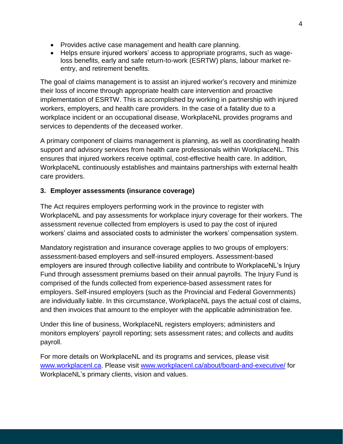- Provides active case management and health care planning.
- Helps ensure injured workers' access to appropriate programs, such as wageloss benefits, early and safe return-to-work (ESRTW) plans, labour market reentry, and retirement benefits.

The goal of claims management is to assist an injured worker's recovery and minimize their loss of income through appropriate health care intervention and proactive implementation of ESRTW. This is accomplished by working in partnership with injured workers, employers, and health care providers. In the case of a fatality due to a workplace incident or an occupational disease, WorkplaceNL provides programs and services to dependents of the deceased worker.

A primary component of claims management is planning, as well as coordinating health support and advisory services from health care professionals within WorkplaceNL. This ensures that injured workers receive optimal, cost-effective health care. In addition, WorkplaceNL continuously establishes and maintains partnerships with external health care providers.

#### **3. Employer assessments (insurance coverage)**

The Act requires employers performing work in the province to register with WorkplaceNL and pay assessments for workplace injury coverage for their workers. The assessment revenue collected from employers is used to pay the cost of injured workers' claims and associated costs to administer the workers' compensation system.

Mandatory registration and insurance coverage applies to two groups of employers: assessment-based employers and self-insured employers. Assessment-based employers are insured through collective liability and contribute to WorkplaceNL's Injury Fund through assessment premiums based on their annual payrolls. The Injury Fund is comprised of the funds collected from experience-based assessment rates for employers. Self-insured employers (such as the Provincial and Federal Governments) are individually liable. In this circumstance, WorkplaceNL pays the actual cost of claims, and then invoices that amount to the employer with the applicable administration fee.

Under this line of business, WorkplaceNL registers employers; administers and monitors employers' payroll reporting; sets assessment rates; and collects and audits payroll.

For more details on WorkplaceNL and its programs and services, please visit [www.workplacenl.ca.](http://www.workplacenl.ca/) Please visit [www.workplacenl.ca/about/board-and-executive/](https://workplacenl.ca/about/board-and-executive/) for WorkplaceNL's primary clients, vision and values.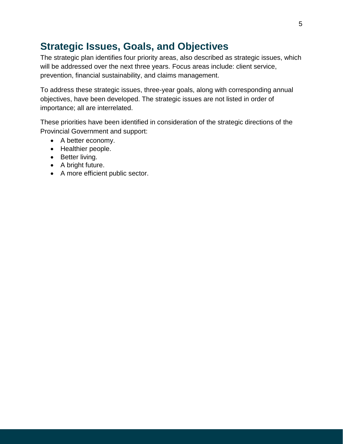### <span id="page-8-0"></span>**Strategic Issues, Goals, and Objectives**

The strategic plan identifies four priority areas, also described as strategic issues, which will be addressed over the next three years. Focus areas include: client service, prevention, financial sustainability, and claims management.

To address these strategic issues, three-year goals, along with corresponding annual objectives, have been developed. The strategic issues are not listed in order of importance; all are interrelated.

These priorities have been identified in consideration of the strategic directions of the Provincial Government and support:

- A better economy.
- Healthier people.
- Better living.
- A bright future.
- A more efficient public sector.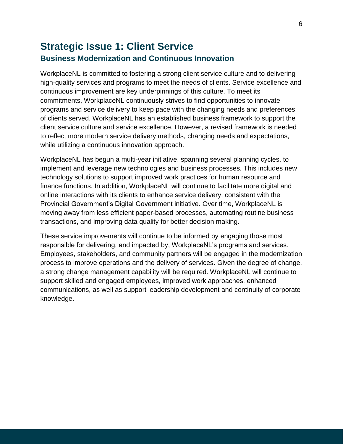#### <span id="page-9-0"></span>**Strategic Issue 1: Client Service Business Modernization and Continuous Innovation**

WorkplaceNL is committed to fostering a strong client service culture and to delivering high-quality services and programs to meet the needs of clients. Service excellence and continuous improvement are key underpinnings of this culture. To meet its commitments, WorkplaceNL continuously strives to find opportunities to innovate programs and service delivery to keep pace with the changing needs and preferences of clients served. WorkplaceNL has an established business framework to support the client service culture and service excellence. However, a revised framework is needed to reflect more modern service delivery methods, changing needs and expectations, while utilizing a continuous innovation approach.

WorkplaceNL has begun a multi-year initiative, spanning several planning cycles, to implement and leverage new technologies and business processes. This includes new technology solutions to support improved work practices for human resource and finance functions. In addition, WorkplaceNL will continue to facilitate more digital and online interactions with its clients to enhance service delivery, consistent with the Provincial Government's Digital Government initiative. Over time, WorkplaceNL is moving away from less efficient paper-based processes, automating routine business transactions, and improving data quality for better decision making.

These service improvements will continue to be informed by engaging those most responsible for delivering, and impacted by, WorkplaceNL's programs and services. Employees, stakeholders, and community partners will be engaged in the modernization process to improve operations and the delivery of services. Given the degree of change, a strong change management capability will be required. WorkplaceNL will continue to support skilled and engaged employees, improved work approaches, enhanced communications, as well as support leadership development and continuity of corporate knowledge.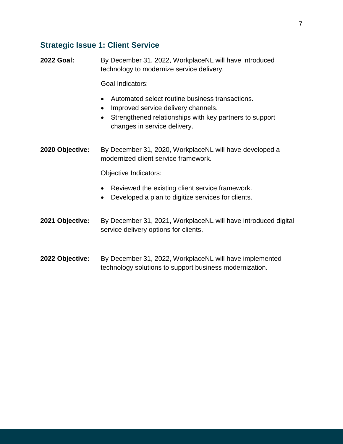#### **Strategic Issue 1: Client Service**

**2022 Goal:** By December 31, 2022, WorkplaceNL will have introduced technology to modernize service delivery.

Goal Indicators:

- Automated select routine business transactions.
- Improved service delivery channels.
- Strengthened relationships with key partners to support changes in service delivery.

**2020 Objective:** By December 31, 2020, WorkplaceNL will have developed a modernized client service framework.

Objective Indicators:

- Reviewed the existing client service framework.
- Developed a plan to digitize services for clients.

**2021 Objective:** By December 31, 2021, WorkplaceNL will have introduced digital service delivery options for clients.

**2022 Objective:** By December 31, 2022, WorkplaceNL will have implemented technology solutions to support business modernization.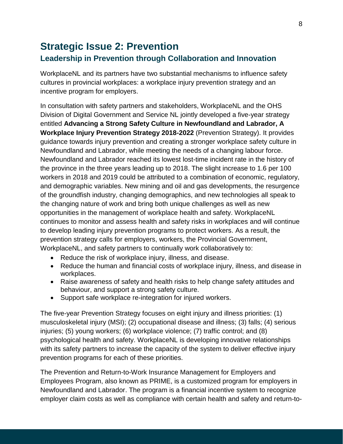### <span id="page-11-0"></span>**Strategic Issue 2: Prevention Leadership in Prevention through Collaboration and Innovation**

WorkplaceNL and its partners have two substantial mechanisms to influence safety cultures in provincial workplaces: a workplace injury prevention strategy and an incentive program for employers.

In consultation with safety partners and stakeholders, WorkplaceNL and the OHS Division of Digital Government and Service NL jointly developed a five-year strategy entitled **Advancing a Strong Safety Culture in Newfoundland and Labrador, A Workplace Injury Prevention Strategy 2018-2022** (Prevention Strategy). It provides guidance towards injury prevention and creating a stronger workplace safety culture in Newfoundland and Labrador, while meeting the needs of a changing labour force. Newfoundland and Labrador reached its lowest lost-time incident rate in the history of the province in the three years leading up to 2018. The slight increase to 1.6 per 100 workers in 2018 and 2019 could be attributed to a combination of economic, regulatory, and demographic variables. New mining and oil and gas developments, the resurgence of the groundfish industry, changing demographics, and new technologies all speak to the changing nature of work and bring both unique challenges as well as new opportunities in the management of workplace health and safety. WorkplaceNL continues to monitor and assess health and safety risks in workplaces and will continue to develop leading injury prevention programs to protect workers. As a result, the prevention strategy calls for employers, workers, the Provincial Government, WorkplaceNL, and safety partners to continually work collaboratively to:

- Reduce the risk of workplace injury, illness, and disease.
- Reduce the human and financial costs of workplace injury, illness, and disease in workplaces.
- Raise awareness of safety and health risks to help change safety attitudes and behaviour, and support a strong safety culture.
- Support safe workplace re-integration for injured workers.

The five-year Prevention Strategy focuses on eight injury and illness priorities: (1) musculoskeletal injury (MSI); (2) occupational disease and illness; (3) falls; (4) serious injuries; (5) young workers; (6) workplace violence; (7) traffic control; and (8) psychological health and safety. WorkplaceNL is developing innovative relationships with its safety partners to increase the capacity of the system to deliver effective injury prevention programs for each of these priorities.

The Prevention and Return-to-Work Insurance Management for Employers and Employees Program, also known as PRIME, is a customized program for employers in Newfoundland and Labrador. The program is a financial incentive system to recognize employer claim costs as well as compliance with certain health and safety and return-to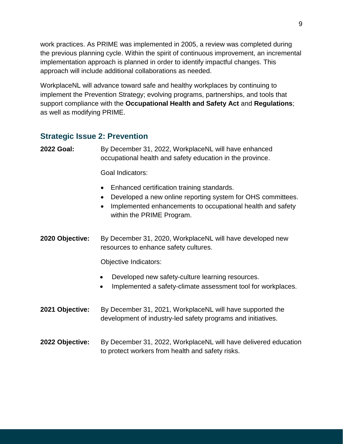work practices. As PRIME was implemented in 2005, a review was completed during the previous planning cycle. Within the spirit of continuous improvement, an incremental implementation approach is planned in order to identify impactful changes. This approach will include additional collaborations as needed.

WorkplaceNL will advance toward safe and healthy workplaces by continuing to implement the Prevention Strategy; evolving programs, partnerships, and tools that support compliance with the **Occupational Health and Safety Act** and **Regulations**; as well as modifying PRIME.

#### **Strategic Issue 2: Prevention**

**2022 Goal:** By December 31, 2022, WorkplaceNL will have enhanced occupational health and safety education in the province.

Goal Indicators:

- Enhanced certification training standards.
- Developed a new online reporting system for OHS committees.
- Implemented enhancements to occupational health and safety within the PRIME Program.
- **2020 Objective:** By December 31, 2020, WorkplaceNL will have developed new resources to enhance safety cultures.

Objective Indicators:

- Developed new safety-culture learning resources.
- Implemented a safety-climate assessment tool for workplaces.
- **2021 Objective:** By December 31, 2021, WorkplaceNL will have supported the development of industry-led safety programs and initiatives.
- **2022 Objective:** By December 31, 2022, WorkplaceNL will have delivered education to protect workers from health and safety risks.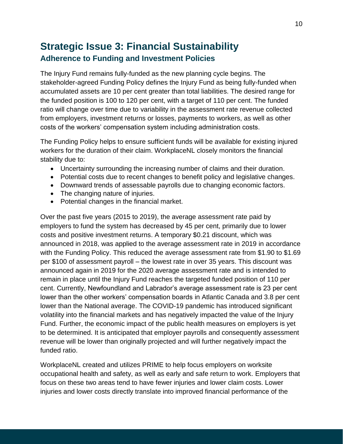### <span id="page-13-0"></span>**Strategic Issue 3: Financial Sustainability Adherence to Funding and Investment Policies**

The Injury Fund remains fully-funded as the new planning cycle begins. The stakeholder-agreed Funding Policy defines the Injury Fund as being fully-funded when accumulated assets are 10 per cent greater than total liabilities. The desired range for the funded position is 100 to 120 per cent, with a target of 110 per cent. The funded ratio will change over time due to variability in the assessment rate revenue collected from employers, investment returns or losses, payments to workers, as well as other costs of the workers' compensation system including administration costs.

The Funding Policy helps to ensure sufficient funds will be available for existing injured workers for the duration of their claim. WorkplaceNL closely monitors the financial stability due to:

- Uncertainty surrounding the increasing number of claims and their duration.
- Potential costs due to recent changes to benefit policy and legislative changes.
- Downward trends of assessable payrolls due to changing economic factors.
- The changing nature of injuries.
- Potential changes in the financial market.

Over the past five years (2015 to 2019), the average assessment rate paid by employers to fund the system has decreased by 45 per cent, primarily due to lower costs and positive investment returns. A temporary \$0.21 discount, which was announced in 2018, was applied to the average assessment rate in 2019 in accordance with the Funding Policy. This reduced the average assessment rate from \$1.90 to \$1.69 per \$100 of assessment payroll – the lowest rate in over 35 years. This discount was announced again in 2019 for the 2020 average assessment rate and is intended to remain in place until the Injury Fund reaches the targeted funded position of 110 per cent. Currently, Newfoundland and Labrador's average assessment rate is 23 per cent lower than the other workers' compensation boards in Atlantic Canada and 3.8 per cent lower than the National average. The COVID-19 pandemic has introduced significant volatility into the financial markets and has negatively impacted the value of the Injury Fund. Further, the economic impact of the public health measures on employers is yet to be determined. It is anticipated that employer payrolls and consequently assessment revenue will be lower than originally projected and will further negatively impact the funded ratio.

WorkplaceNL created and utilizes PRIME to help focus employers on worksite occupational health and safety, as well as early and safe return to work. Employers that focus on these two areas tend to have fewer injuries and lower claim costs. Lower injuries and lower costs directly translate into improved financial performance of the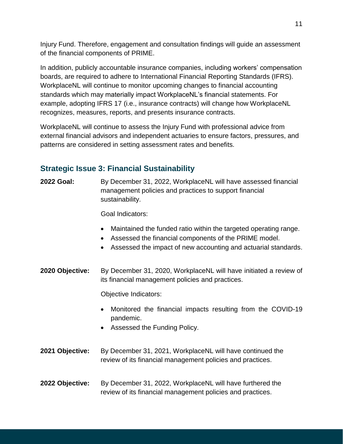Injury Fund. Therefore, engagement and consultation findings will guide an assessment of the financial components of PRIME.

In addition, publicly accountable insurance companies, including workers' compensation boards, are required to adhere to International Financial Reporting Standards (IFRS). WorkplaceNL will continue to monitor upcoming changes to financial accounting standards which may materially impact WorkplaceNL's financial statements. For example, adopting IFRS 17 (i.e., insurance contracts) will change how WorkplaceNL recognizes, measures, reports, and presents insurance contracts.

WorkplaceNL will continue to assess the Injury Fund with professional advice from external financial advisors and independent actuaries to ensure factors, pressures, and patterns are considered in setting assessment rates and benefits.

#### **Strategic Issue 3: Financial Sustainability**

**2022 Goal:** By December 31, 2022, WorkplaceNL will have assessed financial management policies and practices to support financial sustainability.

Goal Indicators:

- Maintained the funded ratio within the targeted operating range.
- Assessed the financial components of the PRIME model.
- Assessed the impact of new accounting and actuarial standards.
- **2020 Objective:** By December 31, 2020, WorkplaceNL will have initiated a review of its financial management policies and practices.

Objective Indicators:

- Monitored the financial impacts resulting from the COVID-19 pandemic.
- Assessed the Funding Policy.
- **2021 Objective:** By December 31, 2021, WorkplaceNL will have continued the review of its financial management policies and practices.
- **2022 Objective:** By December 31, 2022, WorkplaceNL will have furthered the review of its financial management policies and practices.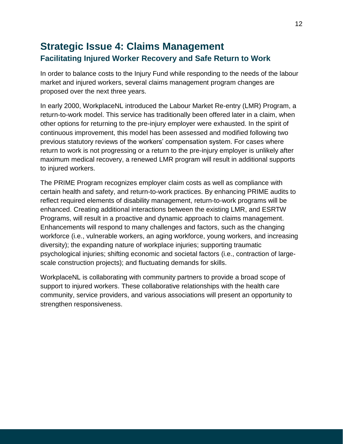#### <span id="page-15-0"></span>**Strategic Issue 4: Claims Management Facilitating Injured Worker Recovery and Safe Return to Work**

In order to balance costs to the Injury Fund while responding to the needs of the labour market and injured workers, several claims management program changes are proposed over the next three years.

In early 2000, WorkplaceNL introduced the Labour Market Re-entry (LMR) Program, a return-to-work model. This service has traditionally been offered later in a claim, when other options for returning to the pre-injury employer were exhausted. In the spirit of continuous improvement, this model has been assessed and modified following two previous statutory reviews of the workers' compensation system. For cases where return to work is not progressing or a return to the pre-injury employer is unlikely after maximum medical recovery, a renewed LMR program will result in additional supports to injured workers.

The PRIME Program recognizes employer claim costs as well as compliance with certain health and safety, and return-to-work practices. By enhancing PRIME audits to reflect required elements of disability management, return-to-work programs will be enhanced. Creating additional interactions between the existing LMR, and ESRTW Programs, will result in a proactive and dynamic approach to claims management. Enhancements will respond to many challenges and factors, such as the changing workforce (i.e., vulnerable workers, an aging workforce, young workers, and increasing diversity); the expanding nature of workplace injuries; supporting traumatic psychological injuries; shifting economic and societal factors (i.e., contraction of largescale construction projects); and fluctuating demands for skills.

WorkplaceNL is collaborating with community partners to provide a broad scope of support to injured workers. These collaborative relationships with the health care community, service providers, and various associations will present an opportunity to strengthen responsiveness.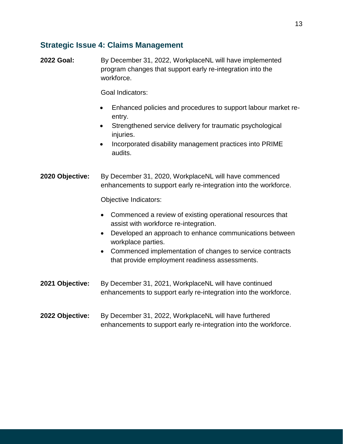#### **Strategic Issue 4: Claims Management**

**2022 Goal:** By December 31, 2022, WorkplaceNL will have implemented program changes that support early re-integration into the workforce.

Goal Indicators:

- Enhanced policies and procedures to support labour market reentry.
- Strengthened service delivery for traumatic psychological injuries.
- Incorporated disability management practices into PRIME audits.

**2020 Objective:** By December 31, 2020, WorkplaceNL will have commenced enhancements to support early re-integration into the workforce.

Objective Indicators:

- Commenced a review of existing operational resources that assist with workforce re-integration.
- Developed an approach to enhance communications between workplace parties.
- Commenced implementation of changes to service contracts that provide employment readiness assessments.
- **2021 Objective:** By December 31, 2021, WorkplaceNL will have continued enhancements to support early re-integration into the workforce.
- **2022 Objective:** By December 31, 2022, WorkplaceNL will have furthered enhancements to support early re-integration into the workforce.